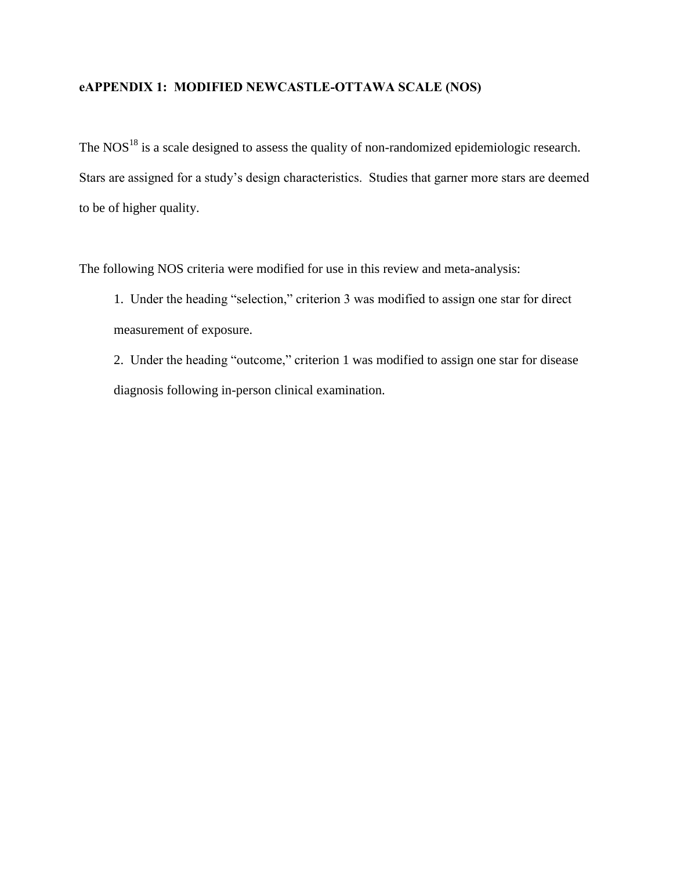## **eAPPENDIX 1: MODIFIED NEWCASTLE-OTTAWA SCALE (NOS)**

The NOS $^{18}$  is a scale designed to assess the quality of non-randomized epidemiologic research. Stars are assigned for a study's design characteristics. Studies that garner more stars are deemed to be of higher quality.

The following NOS criteria were modified for use in this review and meta-analysis:

1. Under the heading "selection," criterion 3 was modified to assign one star for direct measurement of exposure.

2. Under the heading "outcome," criterion 1 was modified to assign one star for disease diagnosis following in-person clinical examination.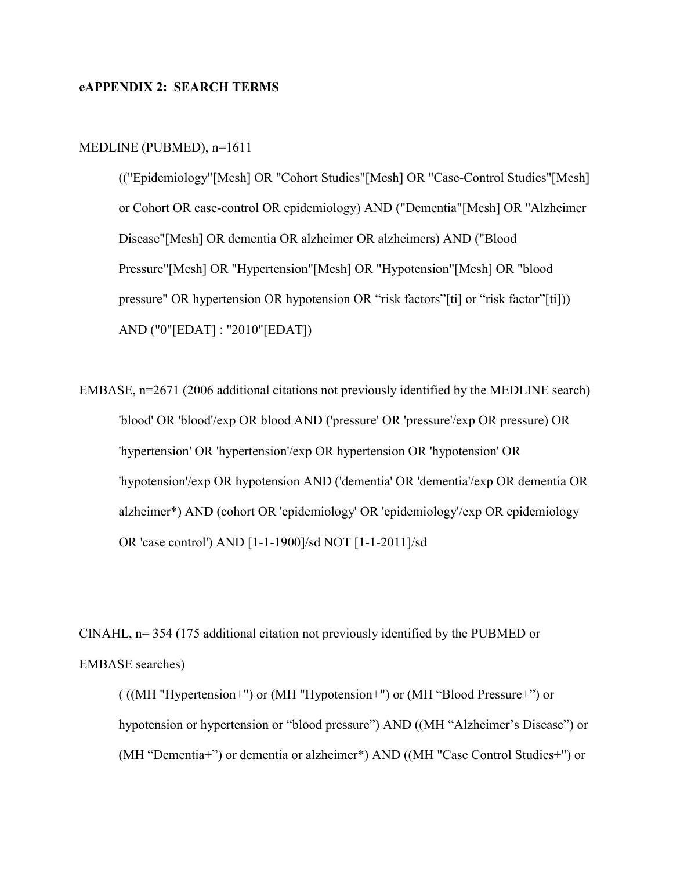### **eAPPENDIX 2: SEARCH TERMS**

#### MEDLINE (PUBMED), n=1611

(("Epidemiology"[Mesh] OR "Cohort Studies"[Mesh] OR "Case-Control Studies"[Mesh] or Cohort OR case-control OR epidemiology) AND ("Dementia"[Mesh] OR "Alzheimer Disease"[Mesh] OR dementia OR alzheimer OR alzheimers) AND ("Blood Pressure"[Mesh] OR "Hypertension"[Mesh] OR "Hypotension"[Mesh] OR "blood pressure" OR hypertension OR hypotension OR "risk factors"[ti] or "risk factor"[ti])) AND ("0"[EDAT] : "2010"[EDAT])

EMBASE, n=2671 (2006 additional citations not previously identified by the MEDLINE search) 'blood' OR 'blood'/exp OR blood AND ('pressure' OR 'pressure'/exp OR pressure) OR 'hypertension' OR 'hypertension'/exp OR hypertension OR 'hypotension' OR 'hypotension'/exp OR hypotension AND ('dementia' OR 'dementia'/exp OR dementia OR alzheimer\*) AND (cohort OR 'epidemiology' OR 'epidemiology'/exp OR epidemiology OR 'case control') AND [1-1-1900]/sd NOT [1-1-2011]/sd

CINAHL, n= 354 (175 additional citation not previously identified by the PUBMED or EMBASE searches)

( ((MH "Hypertension+") or (MH "Hypotension+") or (MH "Blood Pressure+") or hypotension or hypertension or "blood pressure") AND ((MH "Alzheimer's Disease") or (MH "Dementia+") or dementia or alzheimer\*) AND ((MH "Case Control Studies+") or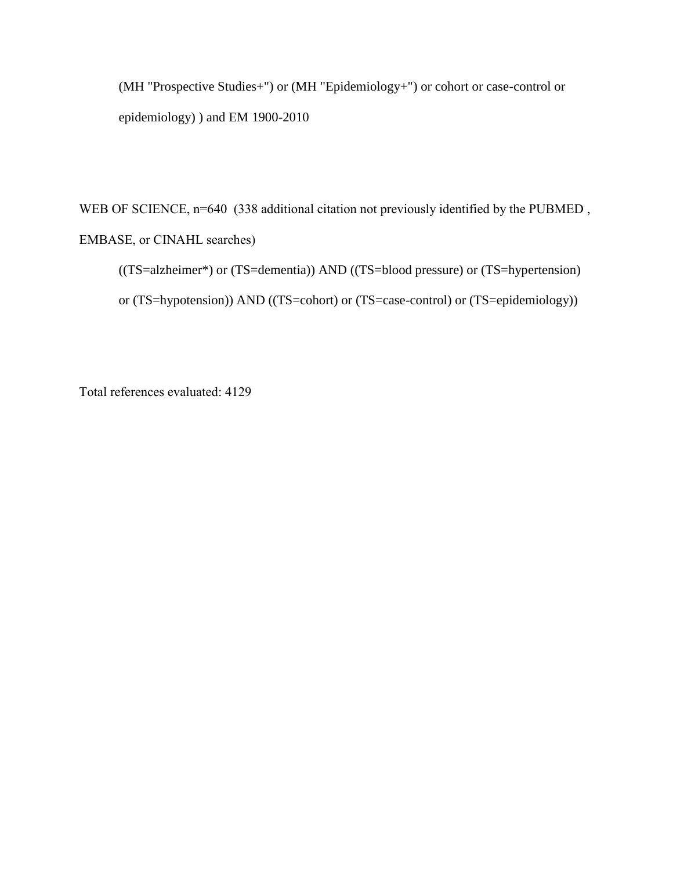(MH "Prospective Studies+") or (MH "Epidemiology+") or cohort or case-control or epidemiology) ) and EM 1900-2010

WEB OF SCIENCE, n=640 (338 additional citation not previously identified by the PUBMED, EMBASE, or CINAHL searches)

((TS=alzheimer\*) or (TS=dementia)) AND ((TS=blood pressure) or (TS=hypertension) or (TS=hypotension)) AND ((TS=cohort) or (TS=case-control) or (TS=epidemiology))

Total references evaluated: 4129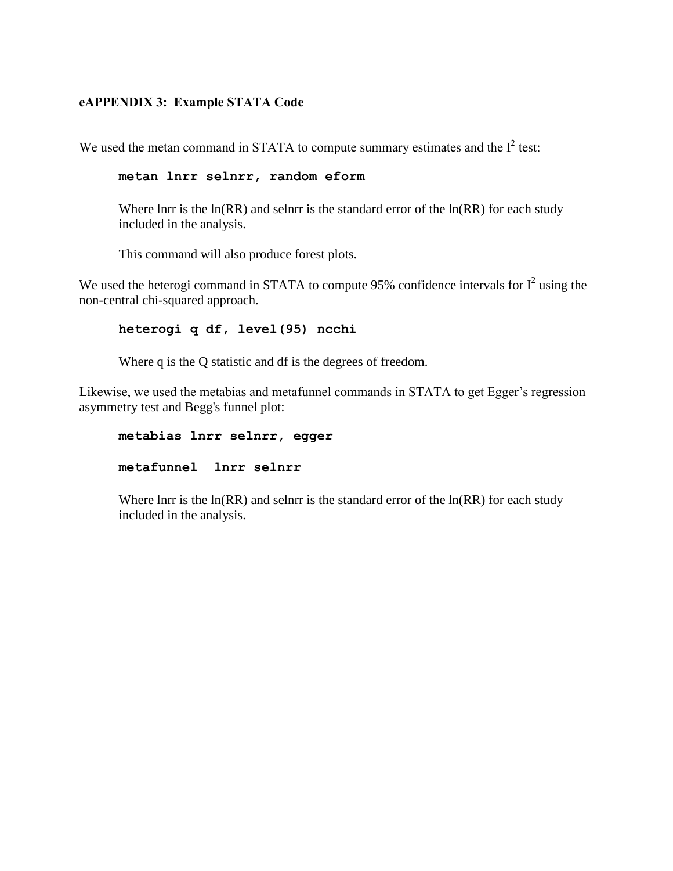## **eAPPENDIX 3: Example STATA Code**

We used the metan command in STATA to compute summary estimates and the  $I^2$  test:

```
metan lnrr selnrr, random eform
```
Where lnrr is the  $ln(RR)$  and selnrr is the standard error of the  $ln(RR)$  for each study included in the analysis.

This command will also produce forest plots.

We used the heterogi command in STATA to compute 95% confidence intervals for  $I^2$  using the non-central chi-squared approach.

## **heterogi q df, level(95) ncchi**

Where q is the Q statistic and df is the degrees of freedom.

Likewise, we used the metabias and metafunnel commands in STATA to get Egger's regression asymmetry test and Begg's funnel plot:

**metabias lnrr selnrr, egger metafunnel lnrr selnrr**

Where lnrr is the  $ln(RR)$  and selnrr is the standard error of the  $ln(RR)$  for each study included in the analysis.